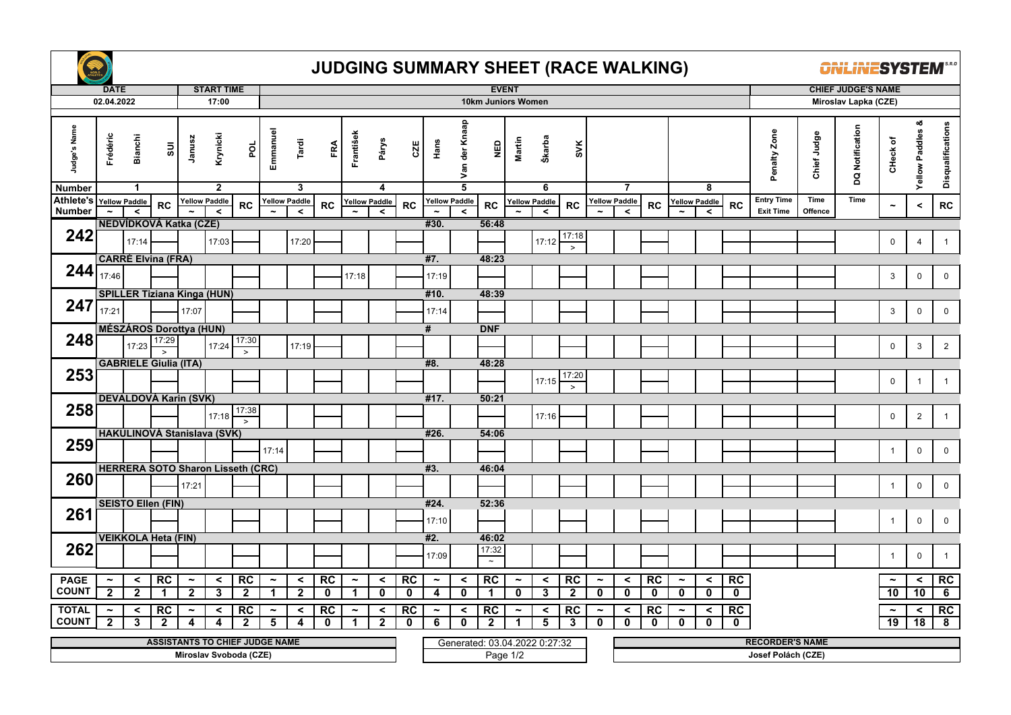

## **JUDGING SUMMARY SHEET (RACE WALKING)**

**ONLINESYSTEM** 

|                             | <b>DATE</b>                             |                                  |                                               |                                         | <b>START TIME</b>        |                               |                             |                               |                          |                                       |                                 |                   |                            |                                 |                                   | <b>EVENT</b>               |                                 |                    |                                       |                                  |                    |                                      |                                 |             |                                       |                 | <b>CHIEF JUDGE'S NAME</b> |                                          |                            |                         |  |
|-----------------------------|-----------------------------------------|----------------------------------|-----------------------------------------------|-----------------------------------------|--------------------------|-------------------------------|-----------------------------|-------------------------------|--------------------------|---------------------------------------|---------------------------------|-------------------|----------------------------|---------------------------------|-----------------------------------|----------------------------|---------------------------------|--------------------|---------------------------------------|----------------------------------|--------------------|--------------------------------------|---------------------------------|-------------|---------------------------------------|-----------------|---------------------------|------------------------------------------|----------------------------|-------------------------|--|
|                             | 02.04.2022                              |                                  |                                               |                                         | 17:00                    |                               |                             |                               |                          |                                       |                                 |                   |                            |                                 | 10km Juniors Women                |                            |                                 |                    |                                       |                                  |                    |                                      |                                 |             | Miroslav Lapka (CZE)                  |                 |                           |                                          |                            |                         |  |
|                             |                                         |                                  |                                               |                                         |                          |                               |                             |                               |                          |                                       |                                 |                   |                            |                                 |                                   |                            |                                 |                    |                                       |                                  |                    |                                      |                                 |             |                                       |                 |                           |                                          |                            |                         |  |
| Judge's Name                | Frédéric                                | <b>Bianchi</b><br>$\mathbf{1}$   | $\overline{\textrm{s}}$                       | Janusz                                  | Krynicki<br>$\mathbf{2}$ | por                           | Emmanuel                    | Tardi<br>3                    | FRA                      | František                             | Párys                           | CZE               | Hans                       | Van der Knaap<br>$\overline{5}$ | $\frac{6}{2}$                     | Martin                     | Škarba<br>6                     | <b>SVK</b>         |                                       | $\overline{7}$                   |                    |                                      | 8                               |             | Penalty Zone                          | Chief Judge     | DQ Notification           | CHeck of                                 | య<br><b>Yellow Paddles</b> | Disqualifications       |  |
| <b>Number</b>               |                                         |                                  |                                               |                                         |                          |                               |                             |                               |                          |                                       | 4                               |                   |                            |                                 |                                   |                            |                                 |                    |                                       |                                  |                    |                                      |                                 |             |                                       |                 |                           |                                          |                            |                         |  |
| Athlete's<br><b>Number</b>  |                                         | <b>Yellow Paddle</b><br>$\hat{}$ | <b>RC</b>                                     | <b>Yellow Paddle</b>                    | $\checkmark$             | <b>RC</b>                     |                             | <b>Yellow Paddle</b><br>$\,<$ | <b>RC</b>                |                                       | <b>Yellow Paddle</b><br>$\prec$ | <b>RC</b>         | <b>Yellow Paddle</b>       | $\prec$                         | <b>RC</b>                         |                            | <b>Yellow Paddle</b><br>$\prec$ | <b>RC</b>          |                                       | <b>Yellow Paddle</b><br>$\hat{}$ | <b>RC</b>          |                                      | <b>Yellow Paddle</b><br>$\prec$ | <b>RC</b>   | <b>Entry Time</b><br><b>Exit Time</b> | Time<br>Offence | Time                      | $\tilde{}$                               | $\,<$                      | ${\sf RC}$              |  |
|                             |                                         |                                  | NEDVÍDKOVÁ Katka (CZE)                        |                                         |                          |                               |                             |                               |                          |                                       |                                 |                   | #30.                       |                                 | 56:48                             |                            |                                 |                    |                                       |                                  |                    |                                      |                                 |             |                                       |                 |                           |                                          |                            |                         |  |
| 242                         |                                         |                                  |                                               |                                         |                          |                               |                             |                               |                          |                                       |                                 |                   |                            |                                 |                                   |                            |                                 | 17:18              |                                       |                                  |                    |                                      |                                 |             |                                       |                 |                           |                                          |                            |                         |  |
|                             |                                         | 17:14                            |                                               |                                         | 17:03                    |                               |                             | 17:20                         |                          |                                       |                                 |                   |                            |                                 |                                   |                            | 17:12                           | $\,>$              |                                       |                                  |                    |                                      |                                 |             |                                       |                 |                           | $\mathbf 0$                              | $\overline{4}$             | $\mathbf{1}$            |  |
|                             |                                         |                                  | <b>CARRÉ Elvina (FRA)</b>                     |                                         |                          |                               |                             |                               |                          |                                       |                                 |                   | #7.                        |                                 | 48:23                             |                            |                                 |                    |                                       |                                  |                    |                                      |                                 |             |                                       |                 |                           |                                          |                            |                         |  |
| 244                         |                                         |                                  |                                               |                                         |                          |                               |                             |                               |                          |                                       |                                 |                   |                            |                                 |                                   |                            |                                 |                    |                                       |                                  |                    |                                      |                                 |             |                                       |                 |                           |                                          |                            |                         |  |
|                             | 17:46                                   |                                  |                                               |                                         |                          |                               |                             |                               |                          | 17:18                                 |                                 |                   | 17:19                      |                                 |                                   |                            |                                 |                    |                                       |                                  |                    |                                      |                                 |             |                                       |                 |                           | 3                                        | $\mathbf 0$                | $\mathbf 0$             |  |
|                             |                                         |                                  | <b>SPILLER Tiziana Kinga (HUN)</b>            |                                         |                          |                               |                             |                               |                          |                                       |                                 |                   | #10.                       |                                 | 48:39                             |                            |                                 |                    |                                       |                                  |                    |                                      |                                 |             |                                       |                 |                           |                                          |                            |                         |  |
| 247                         | 17:21                                   |                                  |                                               | 17:07                                   |                          |                               |                             |                               |                          |                                       |                                 |                   | 17:14                      |                                 |                                   |                            |                                 |                    |                                       |                                  |                    |                                      |                                 |             |                                       |                 |                           | $\mathbf{3}$                             | $\pmb{0}$                  | $\mathbf 0$             |  |
|                             |                                         |                                  |                                               |                                         |                          |                               |                             |                               |                          |                                       |                                 |                   |                            |                                 |                                   |                            |                                 |                    |                                       |                                  |                    |                                      |                                 |             |                                       |                 |                           |                                          |                            |                         |  |
|                             |                                         |                                  | <b>MÉSZÁROS Dorottya (HUN)</b>                |                                         |                          |                               |                             |                               |                          |                                       |                                 |                   | #                          |                                 | <b>DNF</b>                        |                            |                                 |                    |                                       |                                  |                    |                                      |                                 |             |                                       |                 |                           |                                          |                            |                         |  |
| 248                         |                                         | 17:23                            | 17:29                                         |                                         | 17:24                    | 17:30                         |                             | 17:19                         |                          |                                       |                                 |                   |                            |                                 |                                   |                            |                                 |                    |                                       |                                  |                    |                                      |                                 |             |                                       |                 |                           | $\mathbf 0$                              | $\mathbf{3}$               | $\overline{2}$          |  |
|                             |                                         |                                  | $\rightarrow$<br><b>GABRIELE Giulia (ITA)</b> |                                         |                          | $\overline{\phantom{a}}$      |                             |                               |                          |                                       |                                 |                   |                            |                                 | 48:28                             |                            |                                 |                    |                                       |                                  |                    |                                      |                                 |             |                                       |                 |                           |                                          |                            |                         |  |
| 253                         |                                         |                                  |                                               |                                         |                          |                               |                             |                               |                          |                                       |                                 |                   | #8.                        |                                 |                                   |                            |                                 | 17:20              |                                       |                                  |                    |                                      |                                 |             |                                       |                 |                           |                                          |                            |                         |  |
|                             |                                         |                                  |                                               |                                         |                          |                               |                             |                               |                          |                                       |                                 |                   |                            |                                 |                                   |                            | 17:15                           | $\rightarrow$      |                                       |                                  |                    |                                      |                                 |             |                                       |                 |                           | 0                                        | $\overline{1}$             | $\mathbf{1}$            |  |
|                             |                                         |                                  | <b>DEVALDOVÁ Karin (SVK)</b>                  |                                         |                          |                               |                             |                               |                          |                                       |                                 |                   | #17.                       |                                 | 50:21                             |                            |                                 |                    |                                       |                                  |                    |                                      |                                 |             |                                       |                 |                           |                                          |                            |                         |  |
| 258                         |                                         |                                  |                                               |                                         |                          | 17:38                         |                             |                               |                          |                                       |                                 |                   |                            |                                 |                                   |                            |                                 |                    |                                       |                                  |                    |                                      |                                 |             |                                       |                 |                           |                                          |                            |                         |  |
|                             |                                         |                                  |                                               |                                         | 17:18                    | $\geq$                        |                             |                               |                          |                                       |                                 |                   |                            |                                 |                                   |                            | 17:16                           |                    |                                       |                                  |                    |                                      |                                 |             |                                       |                 |                           | $\mathbf 0$                              | $\overline{2}$             | $\mathbf{1}$            |  |
|                             |                                         |                                  | <b>HAKULINOVÁ Stanislava (SVK)</b>            |                                         |                          |                               |                             |                               |                          |                                       |                                 |                   | #26.                       |                                 | 54:06                             |                            |                                 |                    |                                       |                                  |                    |                                      |                                 |             |                                       |                 |                           |                                          |                            |                         |  |
| 259                         |                                         |                                  |                                               |                                         |                          |                               | 17:14                       |                               |                          |                                       |                                 |                   |                            |                                 |                                   |                            |                                 |                    |                                       |                                  |                    |                                      |                                 |             |                                       |                 |                           | $\mathbf{1}$                             | $\mathbf 0$                | $\mathbf 0$             |  |
|                             |                                         |                                  |                                               |                                         |                          |                               |                             |                               |                          |                                       |                                 |                   |                            |                                 |                                   |                            |                                 |                    |                                       |                                  |                    |                                      |                                 |             |                                       |                 |                           |                                          |                            |                         |  |
|                             |                                         |                                  | <b>HERRERA SOTO Sharon Lisseth (CRC)</b>      |                                         |                          |                               |                             |                               |                          |                                       |                                 |                   | #3.                        |                                 | 46:04                             |                            |                                 |                    |                                       |                                  |                    |                                      |                                 |             |                                       |                 |                           |                                          |                            |                         |  |
| 260                         |                                         |                                  |                                               | 17:21                                   |                          |                               |                             |                               |                          |                                       |                                 |                   |                            |                                 |                                   |                            |                                 |                    |                                       |                                  |                    |                                      |                                 |             |                                       |                 |                           | $\overline{1}$                           | $\mathbf 0$                | $\mathbf 0$             |  |
|                             |                                         |                                  | <b>SEISTO Ellen (FIN)</b>                     |                                         |                          |                               |                             |                               |                          |                                       |                                 |                   | #24.                       |                                 | 52:36                             |                            |                                 |                    |                                       |                                  |                    |                                      |                                 |             |                                       |                 |                           |                                          |                            |                         |  |
| 261                         |                                         |                                  |                                               |                                         |                          |                               |                             |                               |                          |                                       |                                 |                   |                            |                                 |                                   |                            |                                 |                    |                                       |                                  |                    |                                      |                                 |             |                                       |                 |                           |                                          |                            |                         |  |
|                             |                                         |                                  |                                               |                                         |                          |                               |                             |                               |                          |                                       |                                 |                   | 17:10                      |                                 |                                   |                            |                                 |                    |                                       |                                  |                    |                                      |                                 |             |                                       |                 |                           | $\overline{1}$                           | $\mathbf 0$                | $\mathbf 0$             |  |
|                             |                                         |                                  | <b>VEIKKOLA Heta (FIN)</b>                    |                                         |                          |                               |                             |                               |                          |                                       |                                 |                   | #2.                        |                                 | 46:02                             |                            |                                 |                    |                                       |                                  |                    |                                      |                                 |             |                                       |                 |                           |                                          |                            |                         |  |
| 262                         |                                         |                                  |                                               |                                         |                          |                               |                             |                               |                          |                                       |                                 |                   |                            |                                 | 17:32                             |                            |                                 |                    |                                       |                                  |                    |                                      |                                 |             |                                       |                 |                           |                                          |                            |                         |  |
|                             |                                         |                                  |                                               |                                         |                          |                               |                             |                               |                          |                                       |                                 |                   | 17:09                      |                                 | $\sim$                            |                            |                                 |                    |                                       |                                  |                    |                                      |                                 |             |                                       |                 |                           | $\overline{1}$                           | $\mathbf 0$                | $\mathbf{1}$            |  |
|                             |                                         |                                  |                                               |                                         |                          |                               |                             |                               |                          |                                       |                                 |                   |                            |                                 |                                   |                            |                                 |                    |                                       |                                  |                    |                                      |                                 |             |                                       |                 |                           |                                          |                            |                         |  |
| <b>PAGE</b><br><b>COUNT</b> | $\tilde{\phantom{a}}$<br>$\overline{2}$ | $\prec$<br>$\mathbf{2}$          | RC<br>-1                                      | $\tilde{\phantom{a}}$<br>$\overline{2}$ | $\prec$<br>3             | RC<br>$\overline{\mathbf{2}}$ | $\tilde{\phantom{a}}$<br>-1 | $\prec$<br>$\mathbf{2}$       | <b>RC</b><br>$\mathbf 0$ | $\tilde{\phantom{a}}$<br>$\mathbf{1}$ | $\prec$<br>$\mathbf 0$          | RC<br>$\mathbf 0$ | $\tilde{\phantom{a}}$<br>4 | $\prec$<br>$\mathbf 0$          | <b>RC</b><br>$\blacktriangleleft$ | $\tilde{\phantom{a}}$<br>0 | $\checkmark$<br>3               | RC<br>$\mathbf{2}$ | $\tilde{\phantom{a}}$<br>$\mathbf{0}$ | $\hat{}$<br>$\mathbf{0}$         | RC<br>$\mathbf{0}$ | $\tilde{\phantom{a}}$<br>$\mathbf 0$ | $\prec$<br>$\mathbf 0$          | RC          |                                       |                 |                           | $\tilde{\phantom{a}}$<br>$\overline{10}$ | $\prec$<br>10              | RC                      |  |
|                             |                                         |                                  |                                               |                                         |                          |                               |                             |                               |                          |                                       |                                 |                   |                            |                                 |                                   |                            |                                 |                    |                                       |                                  |                    |                                      |                                 | $\mathbf 0$ |                                       |                 |                           |                                          |                            | 6                       |  |
| <b>TOTAL</b>                | $\tilde{\phantom{a}}$                   | $\prec$                          | <b>RC</b>                                     | $\tilde{\phantom{a}}$                   | $\prec$                  | <b>RC</b>                     | $\tilde{\phantom{a}}$       | $\checkmark$                  | RC                       | $\tilde{\phantom{a}}$                 | $\prec$                         | RC                | $\tilde{\phantom{a}}$      | $\prec$                         | RC                                | $\tilde{\phantom{a}}$      | ≺                               | RC                 | $\tilde{\phantom{a}}$                 | $\prec$                          | RC                 | $\tilde{\phantom{a}}$                | $\prec$                         | RC          |                                       |                 |                           | $\tilde{\phantom{a}}$                    | $\prec$                    | RC                      |  |
| <b>COUNT</b>                | $\mathbf{2}$                            | 3                                | $\overline{2}$                                | 4                                       | 4                        | $\overline{2}$                | 5                           | 4                             | $\mathbf 0$              | 1                                     | $\mathbf{2}$                    | $\mathbf 0$       | 6                          | $\mathbf 0$                     | $\mathbf{2}$                      |                            | 5                               | 3                  | $\mathbf 0$                           | $\mathbf 0$                      | $\mathbf{0}$       | $\mathbf 0$                          | $\mathbf{0}$                    | $\mathbf 0$ |                                       |                 |                           | $\overline{19}$                          | 18                         | $\overline{\mathbf{8}}$ |  |
|                             |                                         |                                  | <b>ASSISTANTS TO CHIEF JUDGE NAME</b>         |                                         |                          |                               |                             |                               |                          |                                       |                                 |                   |                            |                                 |                                   |                            | Generated: 03.04.2022 0.27:32   |                    |                                       |                                  |                    |                                      |                                 |             | <b>RECORDER'S NAME</b>                |                 |                           |                                          |                            |                         |  |
|                             |                                         |                                  |                                               |                                         |                          | Miroslav Svoboda (CZE)        |                             |                               |                          |                                       |                                 |                   |                            |                                 |                                   | Page $1/2$                 |                                 |                    |                                       |                                  |                    |                                      |                                 |             | Josef Polách (CZE)                    |                 |                           |                                          |                            |                         |  |
|                             |                                         |                                  |                                               |                                         |                          |                               |                             |                               |                          |                                       |                                 |                   |                            |                                 |                                   |                            |                                 |                    |                                       |                                  |                    |                                      |                                 |             |                                       |                 |                           |                                          |                            |                         |  |